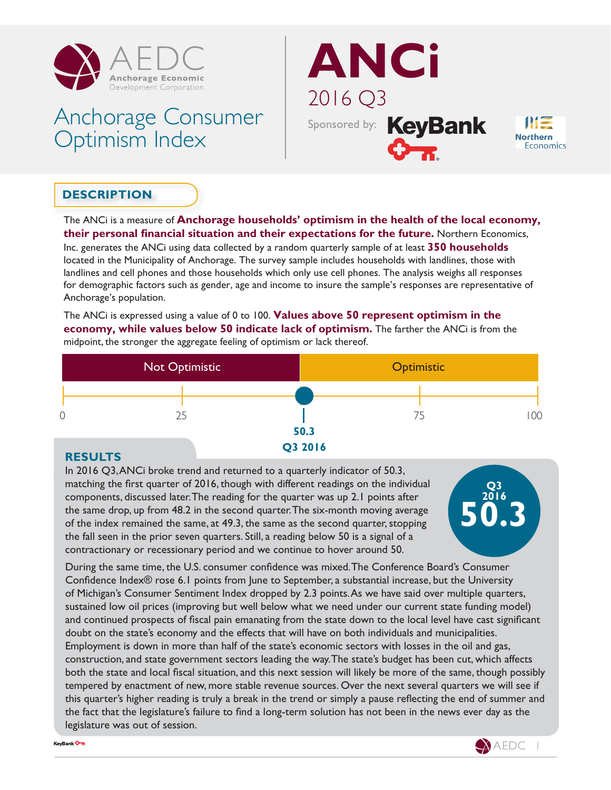

# Anchorage Consumer Optimism Index





# **DESCRIPTION**

The ANCi is a measure of **Anchorage households' optimism in the health of the local economy, their personal financial situation and their expectations for the future.** Northern Economics,

Inc. generates the ANCi using data collected by a random quarterly sample of at least **350 households** located in the Municipality of Anchorage. The survey sample includes households with landlines, those with landlines and cell phones and those households which only use cell phones. The analysis weighs all responses for demographic factors such as gender, age and income to insure the sample's responses are representative of Anchorage's population.

The ANCi is expressed using a value of 0 to 100. **Values above 50 represent optimism in the economy, while values below 50 indicate lack of optimism.** The farther the ANCi is from the midpoint, the stronger the aggregate feeling of optimism or lack thereof.



### **RESULTS**

In 2016 Q3, ANCi broke trend and returned to a quarterly indicator of 50.3, matching the first quarter of 2016, though with different readings on the individual components, discussed later. The reading for the quarter was up 2.1 points after the same drop, up from 48.2 in the second quarter. The six-month moving average of the index remained the same, at 49.3, the same as the second quarter, stopping the fall seen in the prior seven quarters. Still, a reading below 50 is a signal of a contractionary or recessionary period and we continue to hover around 50.



During the same time, the U.S. consumer confidence was mixed. The Conference Board's Consumer Confidence Index® rose 6.1 points from June to September, a substantial increase, but the University of Michigan's Consumer Sentiment Index dropped by 2.3 points. As we have said over multiple quarters, sustained low oil prices (improving but well below what we need under our current state funding model) and continued prospects of fiscal pain emanating from the state down to the local level have cast significant doubt on the state's economy and the effects that will have on both individuals and municipalities. Employment is down in more than half of the state's economic sectors with losses in the oil and gas, construction, and state government sectors leading the way. The state's budget has been cut, which affects both the state and local fiscal situation, and this next session will likely be more of the same, though possibly tempered by enactment of new, more stable revenue sources. Over the next several quarters we will see if this quarter's higher reading is truly a break in the trend or simply a pause reflecting the end of summer and the fact that the legislature's failure to find a long-term solution has not been in the news ever day as the legislature was out of session.



KeyBank On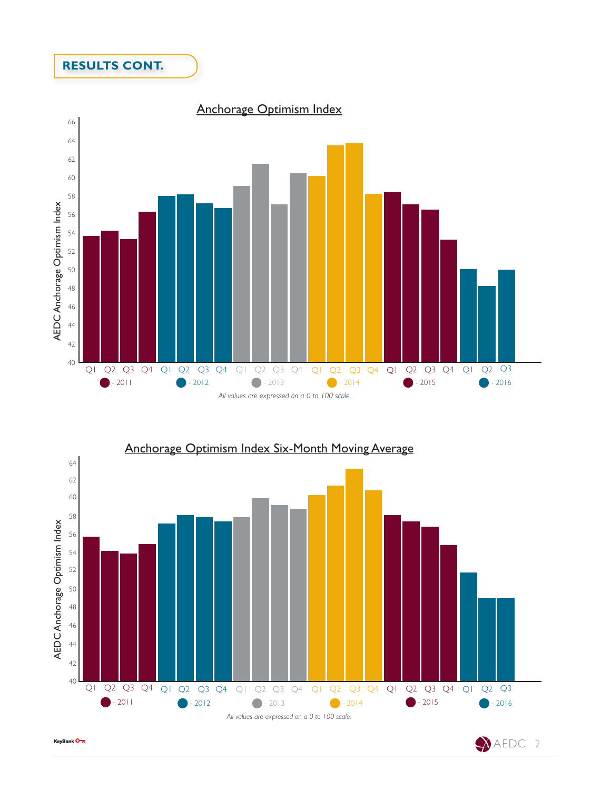## **RESULTS CONT.**





KeyBank On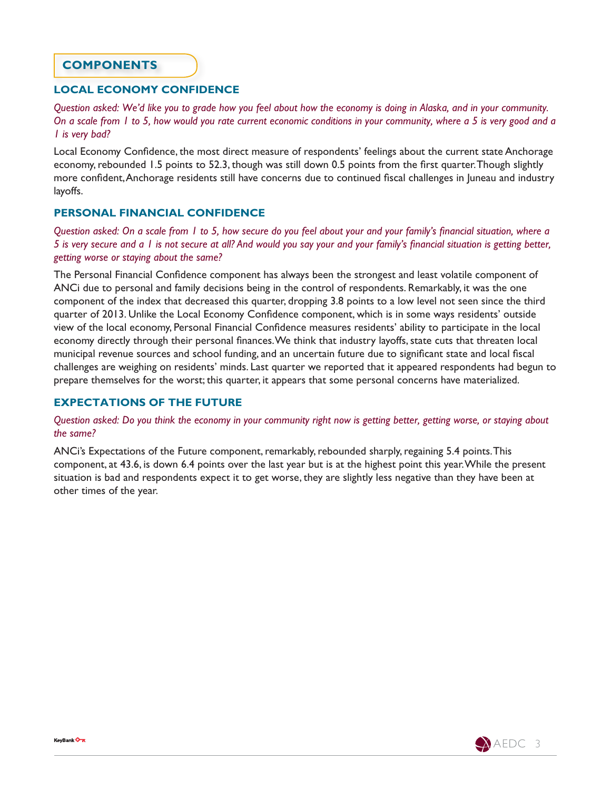#### **COMPONENTS**

#### **LOCAL ECONOMY CONFIDENCE**

*Question asked: We'd like you to grade how you feel about how the economy is doing in Alaska, and in your community. On a scale from 1 to 5, how would you rate current economic conditions in your community, where a 5 is very good and a 1 is very bad?*

Local Economy Confidence, the most direct measure of respondents' feelings about the current state Anchorage economy, rebounded 1.5 points to 52.3, though was still down 0.5 points from the first quarter. Though slightly more confident, Anchorage residents still have concerns due to continued fiscal challenges in Juneau and industry layoffs.

#### **PERSONAL FINANCIAL CONFIDENCE**

*Question asked: On a scale from 1 to 5, how secure do you feel about your and your family's financial situation, where a 5 is very secure and a 1 is not secure at all? And would you say your and your family's financial situation is getting better, getting worse or staying about the same?*

The Personal Financial Confidence component has always been the strongest and least volatile component of ANCi due to personal and family decisions being in the control of respondents. Remarkably, it was the one component of the index that decreased this quarter, dropping 3.8 points to a low level not seen since the third quarter of 2013. Unlike the Local Economy Confidence component, which is in some ways residents' outside view of the local economy, Personal Financial Confidence measures residents' ability to participate in the local economy directly through their personal finances. We think that industry layoffs, state cuts that threaten local municipal revenue sources and school funding, and an uncertain future due to significant state and local fiscal challenges are weighing on residents' minds. Last quarter we reported that it appeared respondents had begun to prepare themselves for the worst; this quarter, it appears that some personal concerns have materialized.

#### **EXPECTATIONS OF THE FUTURE**

*Question asked: Do you think the economy in your community right now is getting better, getting worse, or staying about the same?*

ANCi's Expectations of the Future component, remarkably, rebounded sharply, regaining 5.4 points. This component, at 43.6, is down 6.4 points over the last year but is at the highest point this year. While the present situation is bad and respondents expect it to get worse, they are slightly less negative than they have been at other times of the year.